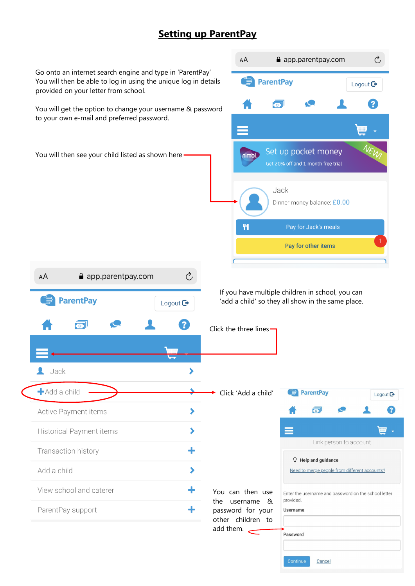## **Setting up ParentPay**

You can then use the username & password for your other children to add them.  $\leftarrow$ 

## $\Omega$  Help and quidance

Need to merge people from different accounts?

Enter the username and password on the school letter provided. Username Password Continue Cancel



Link person to account

## Transaction history

Add a child

View school and caterer

ParentPay support

٠